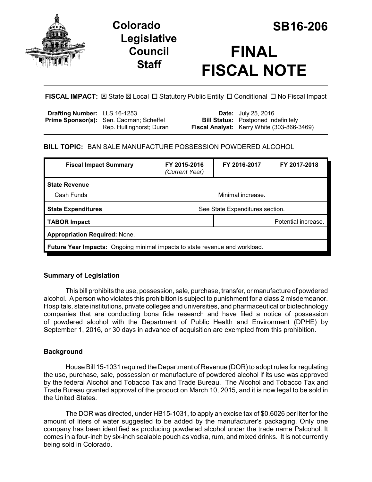



# **FINAL FISCAL NOTE**

# **FISCAL IMPACT:** ⊠ State ⊠ Local □ Statutory Public Entity □ Conditional □ No Fiscal Impact

| Drafting Number: LLS 16-1253 |                                                | <b>Date:</b> July 25, 2016                        |
|------------------------------|------------------------------------------------|---------------------------------------------------|
|                              | <b>Prime Sponsor(s):</b> Sen. Cadman; Scheffel | <b>Bill Status:</b> Postponed Indefinitely        |
|                              | Rep. Hullinghorst; Duran                       | <b>Fiscal Analyst:</b> Kerry White (303-866-3469) |

# **BILL TOPIC:** BAN SALE MANUFACTURE POSSESSION POWDERED ALCOHOL

| <b>Fiscal Impact Summary</b>                                                       | FY 2015-2016<br>(Current Year)  | FY 2016-2017 | FY 2017-2018        |  |  |
|------------------------------------------------------------------------------------|---------------------------------|--------------|---------------------|--|--|
| <b>State Revenue</b>                                                               |                                 |              |                     |  |  |
| Cash Funds                                                                         | Minimal increase.               |              |                     |  |  |
| <b>State Expenditures</b>                                                          | See State Expenditures section. |              |                     |  |  |
| <b>TABOR Impact</b>                                                                |                                 |              | Potential increase. |  |  |
| <b>Appropriation Required: None.</b>                                               |                                 |              |                     |  |  |
| <b>Future Year Impacts:</b> Ongoing minimal impacts to state revenue and workload. |                                 |              |                     |  |  |

## **Summary of Legislation**

This bill prohibits the use, possession, sale, purchase, transfer, or manufacture of powdered alcohol. A person who violates this prohibition is subject to punishment for a class 2 misdemeanor. Hospitals, state institutions, private colleges and universities, and pharmaceutical or biotechnology companies that are conducting bona fide research and have filed a notice of possession of powdered alcohol with the Department of Public Health and Environment (DPHE) by September 1, 2016, or 30 days in advance of acquisition are exempted from this prohibition.

# **Background**

House Bill 15-1031 required the Department of Revenue (DOR) to adopt rules for regulating the use, purchase, sale, possession or manufacture of powdered alcohol if its use was approved by the federal Alcohol and Tobacco Tax and Trade Bureau. The Alcohol and Tobacco Tax and Trade Bureau granted approval of the product on March 10, 2015, and it is now legal to be sold in the United States.

The DOR was directed, under HB15-1031, to apply an excise tax of \$0.6026 per liter for the amount of liters of water suggested to be added by the manufacturer's packaging. Only one company has been identified as producing powdered alcohol under the trade name Palcohol. It comes in a four-inch by six-inch sealable pouch as vodka, rum, and mixed drinks. It is not currently being sold in Colorado.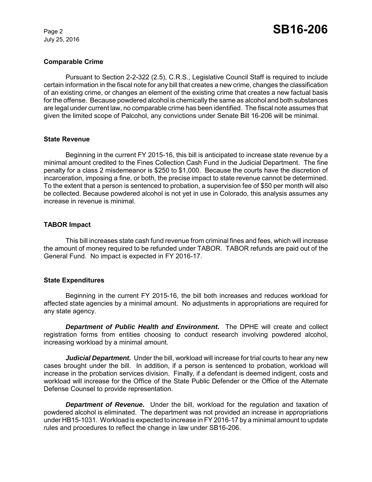July 25, 2016

## **Comparable Crime**

Pursuant to Section 2-2-322 (2.5), C.R.S., Legislative Council Staff is required to include certain information in the fiscal note for any bill that creates a new crime, changes the classification of an existing crime, or changes an element of the existing crime that creates a new factual basis for the offense. Because powdered alcohol is chemically the same as alcohol and both substances are legal under current law, no comparable crime has been identified. The fiscal note assumes that given the limited scope of Palcohol, any convictions under Senate Bill 16-206 will be minimal.

#### **State Revenue**

Beginning in the current FY 2015-16, this bill is anticipated to increase state revenue by a minimal amount credited to the Fines Collection Cash Fund in the Judicial Department. The fine penalty for a class 2 misdemeanor is \$250 to \$1,000. Because the courts have the discretion of incarceration, imposing a fine, or both, the precise impact to state revenue cannot be determined. To the extent that a person is sentenced to probation, a supervision fee of \$50 per month will also be collected. Because powdered alcohol is not yet in use in Colorado, this analysis assumes any increase in revenue is minimal.

#### **TABOR Impact**

This bill increases state cash fund revenue from criminal fines and fees, which will increase the amount of money required to be refunded under TABOR. TABOR refunds are paid out of the General Fund. No impact is expected in FY 2016-17.

#### **State Expenditures**

Beginning in the current FY 2015-16, the bill both increases and reduces workload for affected state agencies by a minimal amount. No adjustments in appropriations are required for any state agency.

*Department of Public Health and Environment.* The DPHE will create and collect registration forms from entities choosing to conduct research involving powdered alcohol, increasing workload by a minimal amount.

*Judicial Department.* Under the bill, workload will increase for trial courts to hear any new cases brought under the bill. In addition, if a person is sentenced to probation, workload will increase in the probation services division. Finally, if a defendant is deemed indigent, costs and workload will increase for the Office of the State Public Defender or the Office of the Alternate Defense Counsel to provide representation.

*Department of Revenue.* Under the bill, workload for the regulation and taxation of powdered alcohol is eliminated. The department was not provided an increase in appropriations under HB15-1031. Workload is expected to increase in FY 2016-17 by a minimal amount to update rules and procedures to reflect the change in law under SB16-206.